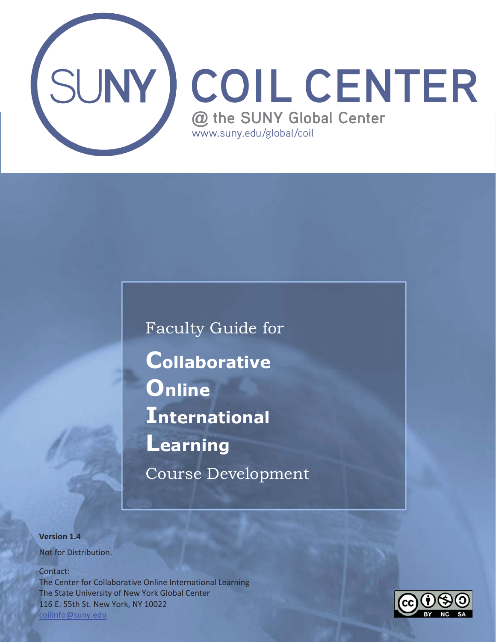

 Faculty Guide for **C**ollaborative<br>**O**nline **International Learning Learning**  Course Development

**Version 1.4**  Not for Distribution.

Contact:

 The State University of New York Global Center The Center for Collaborative Online International Learning 116 E. 55th St. New York, NY 10022 coilinfo@suny.edu

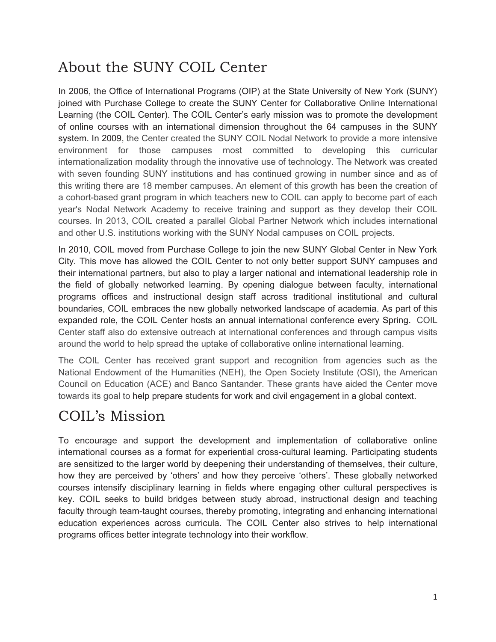# About the SUNY COIL Center

In 2006, the Office of International Programs (OIP) at the State University of New York (SUNY) joined with Purchase College to create the SUNY Center for Collaborative Online International Learning (the COIL Center). The COIL Center's early mission was to promote the development of online courses with an international dimension throughout the 64 campuses in the SUNY system. In 2009, the Center created the SUNY COIL Nodal Network to provide a more intensive environment for those campuses most committed to developing this curricular internationalization modality through the innovative use of technology. The Network was created with seven founding SUNY institutions and has continued growing in number since and as of this writing there are 18 member campuses. An element of this growth has been the creation of a cohort-based grant program in which teachers new to COIL can apply to become part of each year's Nodal Network Academy to receive training and support as they develop their COIL courses. In 2013, COIL created a parallel Global Partner Network which includes international and other U.S. institutions working with the SUNY Nodal campuses on COIL projects.

In 2010, COIL moved from Purchase College to join the new SUNY Global Center in New York City. This move has allowed the COIL Center to not only better support SUNY campuses and their international partners, but also to play a larger national and international leadership role in the field of globally networked learning. By opening dialogue between faculty, international programs offices and instructional design staff across traditional institutional and cultural boundaries, COIL embraces the new globally networked landscape of academia. As part of this expanded role, the COIL Center hosts an annual international conference every Spring. COIL Center staff also do extensive outreach at international conferences and through campus visits around the world to help spread the uptake of collaborative online international learning.

The COIL Center has received grant support and recognition from agencies such as the National Endowment of the Humanities (NEH), the Open Society Institute (OSI), the American Council on Education (ACE) and Banco Santander. These grants have aided the Center move towards its goal to help prepare students for work and civil engagement in a global context.

# COIL's Mission

To encourage and support the development and implementation of collaborative online international courses as a format for experiential cross-cultural learning. Participating students are sensitized to the larger world by deepening their understanding of themselves, their culture, how they are perceived by 'others' and how they perceive 'others'. These globally networked courses intensify disciplinary learning in fields where engaging other cultural perspectives is key. COIL seeks to build bridges between study abroad, instructional design and teaching faculty through team-taught courses, thereby promoting, integrating and enhancing international education experiences across curricula. The COIL Center also strives to help international programs offices better integrate technology into their workflow.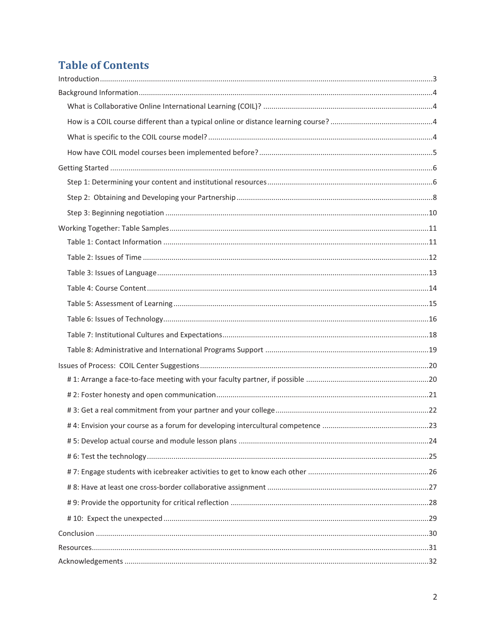# **Table of Contents**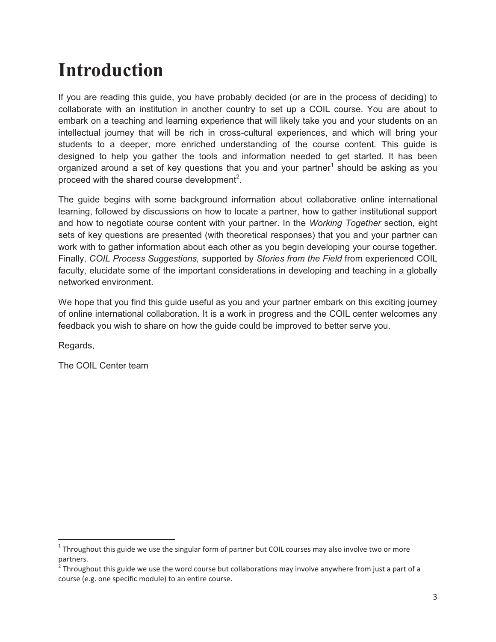# **Introduction**

If you are reading this guide, you have probably decided (or are in the process of deciding) to collaborate with an institution in another country to set up a COIL course. You are about to embark on a teaching and learning experience that will likely take you and your students on an intellectual journey that will be rich in cross-cultural experiences, and which will bring your students to a deeper, more enriched understanding of the course content. This guide is designed to help you gather the tools and information needed to get started. It has been organized around a set of key questions that you and your partner<sup>1</sup> should be asking as you proceed with the shared course development<sup>2</sup>.

The guide begins with some background information about collaborative online international learning, followed by discussions on how to locate a partner, how to gather institutional support and how to negotiate course content with your partner. In the *Working Together* section, eight sets of key questions are presented (with theoretical responses) that you and your partner can work with to gather information about each other as you begin developing your course together. Finally, *COIL Process Suggestions,* supported by *Stories from the Field* from experienced COIL faculty, elucidate some of the important considerations in developing and teaching in a globally networked environment.

We hope that you find this guide useful as you and your partner embark on this exciting journey of online international collaboration. It is a work in progress and the COIL center welcomes any feedback you wish to share on how the guide could be improved to better serve you.

Regards,

 $\overline{a}$ 

The COIL Center team

 $^{\text{1}}$  Throughout this guide we use the singular form of partner but COIL courses may also involve two or more partners.

 $^2$  Throughout this guide we use the word course but collaborations may involve anywhere from just a part of a course (e.g. one specific module) to an entire course.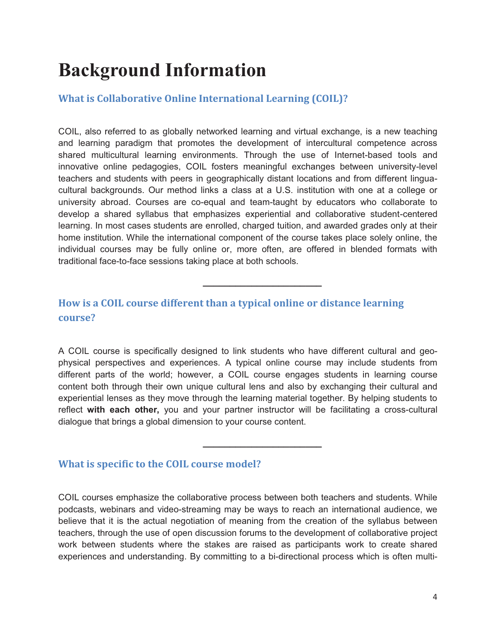# **Background Information**

# **What is Collaborative Online International Learning (COIL)?**

COIL, also referred to as globally networked learning and virtual exchange, is a new teaching and learning paradigm that promotes the development of intercultural competence across shared multicultural learning environments. Through the use of Internet-based tools and innovative online pedagogies, COIL fosters meaningful exchanges between university-level teachers and students with peers in geographically distant locations and from different linguacultural backgrounds. Our method links a class at a U.S. institution with one at a college or university abroad. Courses are co-equal and team-taught by educators who collaborate to develop a shared syllabus that emphasizes experiential and collaborative student-centered learning. In most cases students are enrolled, charged tuition, and awarded grades only at their home institution. While the international component of the course takes place solely online, the individual courses may be fully online or, more often, are offered in blended formats with traditional face-to-face sessions taking place at both schools.

**\_\_\_\_\_\_\_\_\_\_\_\_\_\_\_\_\_\_\_\_\_\_** 

# **How is a COIL course different than a typical online or distance learning course?**

A COIL course is specifically designed to link students who have different cultural and geophysical perspectives and experiences. A typical online course may include students from different parts of the world; however, a COIL course engages students in learning course content both through their own unique cultural lens and also by exchanging their cultural and experiential lenses as they move through the learning material together. By helping students to reflect **with each other,** you and your partner instructor will be facilitating a cross-cultural dialogue that brings a global dimension to your course content.

**\_\_\_\_\_\_\_\_\_\_\_\_\_\_\_\_\_\_\_\_\_\_** 

# **What is specific to the COIL course model?**

COIL courses emphasize the collaborative process between both teachers and students. While podcasts, webinars and video-streaming may be ways to reach an international audience, we believe that it is the actual negotiation of meaning from the creation of the syllabus between teachers, through the use of open discussion forums to the development of collaborative project work between students where the stakes are raised as participants work to create shared experiences and understanding. By committing to a bi-directional process which is often multi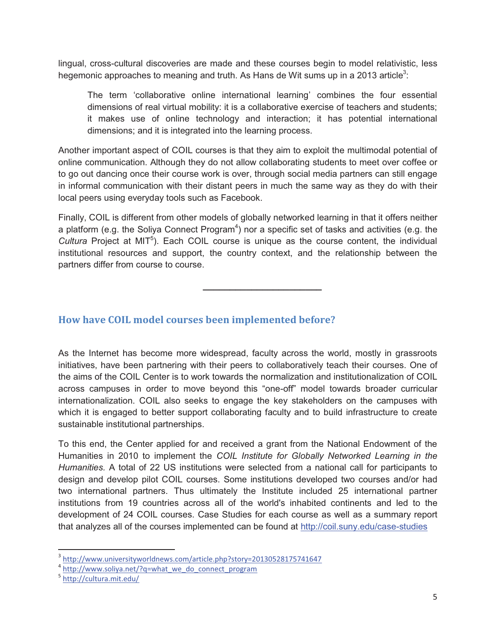lingual, cross-cultural discoveries are made and these courses begin to model relativistic, less hegemonic approaches to meaning and truth. As Hans de Wit sums up in a 2013 article<sup>3</sup>:

The term 'collaborative online international learning' combines the four essential dimensions of real virtual mobility: it is a collaborative exercise of teachers and students; it makes use of online technology and interaction; it has potential international dimensions; and it is integrated into the learning process.

Another important aspect of COIL courses is that they aim to exploit the multimodal potential of online communication. Although they do not allow collaborating students to meet over coffee or to go out dancing once their course work is over, through social media partners can still engage in informal communication with their distant peers in much the same way as they do with their local peers using everyday tools such as Facebook.

Finally, COIL is different from other models of globally networked learning in that it offers neither a platform (e.g. the Soliya Connect Program $^4$ ) nor a specific set of tasks and activities (e.g. the Cultura Project at MIT<sup>5</sup>). Each COIL course is unique as the course content, the individual institutional resources and support, the country context, and the relationship between the partners differ from course to course.

**\_\_\_\_\_\_\_\_\_\_\_\_\_\_\_\_\_\_\_\_\_\_** 

# **How have COIL model courses been implemented before?**

As the Internet has become more widespread, faculty across the world, mostly in grassroots initiatives, have been partnering with their peers to collaboratively teach their courses. One of the aims of the COIL Center is to work towards the normalization and institutionalization of COIL across campuses in order to move beyond this "one-off" model towards broader curricular internationalization. COIL also seeks to engage the key stakeholders on the campuses with which it is engaged to better support collaborating faculty and to build infrastructure to create sustainable institutional partnerships.

To this end, the Center applied for and received a grant from the National Endowment of the Humanities in 2010 to implement the *COIL Institute for Globally Networked Learning in the Humanities.* A total of 22 US institutions were selected from a national call for participants to design and develop pilot COIL courses. Some institutions developed two courses and/or had two international partners. Thus ultimately the Institute included 25 international partner institutions from 19 countries across all of the world's inhabited continents and led to the development of 24 COIL courses. Case Studies for each course as well as a summary report that analyzes all of the courses implemented can be found at http://coil.suny.edu/case-studies

 $\overline{a}$ 

 $3 \frac{\text{http://www.universityworldnews.com/article.php?story=20130528175741647}}{\text{http://www.soliva.net/?q=what we do connect program}}$ 

<sup>5</sup> http://cultura.mit.edu/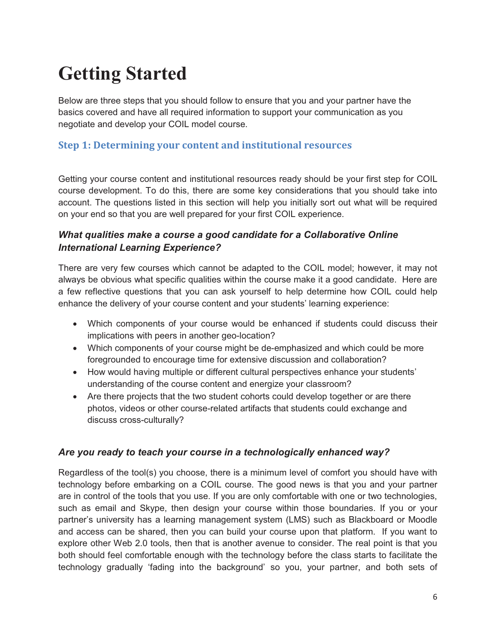# **Getting Started**

Below are three steps that you should follow to ensure that you and your partner have the basics covered and have all required information to support your communication as you negotiate and develop your COIL model course.

# **Step 1: Determining your content and institutional resources**

Getting your course content and institutional resources ready should be your first step for COIL course development. To do this, there are some key considerations that you should take into account. The questions listed in this section will help you initially sort out what will be required on your end so that you are well prepared for your first COIL experience.

# *What qualities make a course a good candidate for a Collaborative Online International Learning Experience?*

There are very few courses which cannot be adapted to the COIL model; however, it may not always be obvious what specific qualities within the course make it a good candidate. Here are a few reflective questions that you can ask yourself to help determine how COIL could help enhance the delivery of your course content and your students' learning experience:

- Which components of your course would be enhanced if students could discuss their implications with peers in another geo-location?
- Which components of your course might be de-emphasized and which could be more foregrounded to encourage time for extensive discussion and collaboration?
- How would having multiple or different cultural perspectives enhance your students' understanding of the course content and energize your classroom?
- Are there projects that the two student cohorts could develop together or are there photos, videos or other course-related artifacts that students could exchange and discuss cross-culturally?

## *Are you ready to teach your course in a technologically enhanced way?*

Regardless of the tool(s) you choose, there is a minimum level of comfort you should have with technology before embarking on a COIL course. The good news is that you and your partner are in control of the tools that you use. If you are only comfortable with one or two technologies, such as email and Skype, then design your course within those boundaries. If you or your partner's university has a learning management system (LMS) such as Blackboard or Moodle and access can be shared, then you can build your course upon that platform. If you want to explore other Web 2.0 tools, then that is another avenue to consider. The real point is that you both should feel comfortable enough with the technology before the class starts to facilitate the technology gradually 'fading into the background' so you, your partner, and both sets of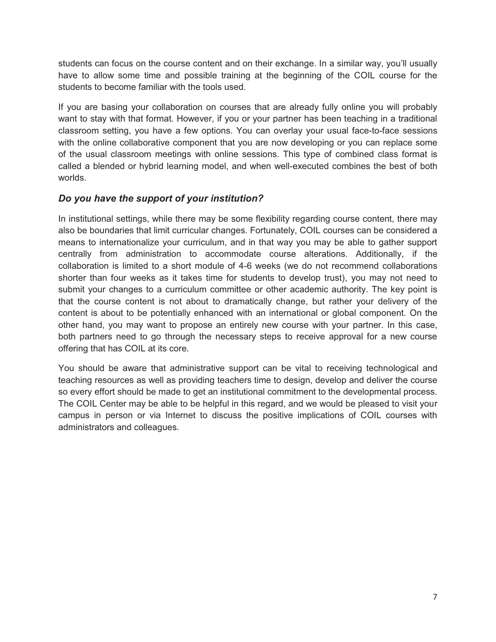students can focus on the course content and on their exchange. In a similar way, you'll usually have to allow some time and possible training at the beginning of the COIL course for the students to become familiar with the tools used.

If you are basing your collaboration on courses that are already fully online you will probably want to stay with that format. However, if you or your partner has been teaching in a traditional classroom setting, you have a few options. You can overlay your usual face-to-face sessions with the online collaborative component that you are now developing or you can replace some of the usual classroom meetings with online sessions. This type of combined class format is called a blended or hybrid learning model, and when well-executed combines the best of both worlds.

# *Do you have the support of your institution?*

In institutional settings, while there may be some flexibility regarding course content, there may also be boundaries that limit curricular changes. Fortunately, COIL courses can be considered a means to internationalize your curriculum, and in that way you may be able to gather support centrally from administration to accommodate course alterations. Additionally, if the collaboration is limited to a short module of 4-6 weeks (we do not recommend collaborations shorter than four weeks as it takes time for students to develop trust), you may not need to submit your changes to a curriculum committee or other academic authority. The key point is that the course content is not about to dramatically change, but rather your delivery of the content is about to be potentially enhanced with an international or global component. On the other hand, you may want to propose an entirely new course with your partner. In this case, both partners need to go through the necessary steps to receive approval for a new course offering that has COIL at its core.

You should be aware that administrative support can be vital to receiving technological and teaching resources as well as providing teachers time to design, develop and deliver the course so every effort should be made to get an institutional commitment to the developmental process. The COIL Center may be able to be helpful in this regard, and we would be pleased to visit your campus in person or via Internet to discuss the positive implications of COIL courses with administrators and colleagues.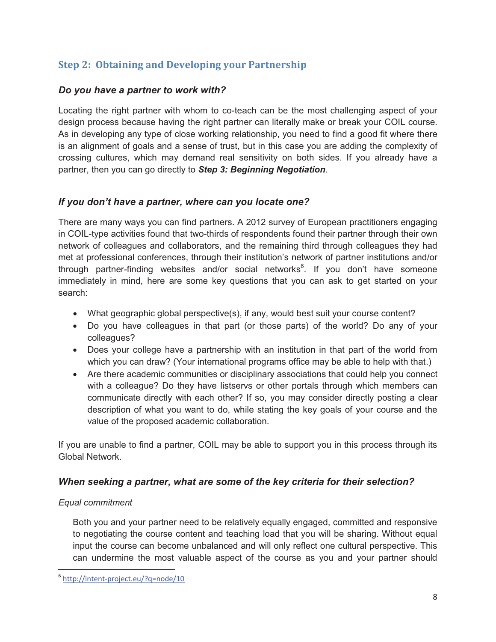# **Step 2: Obtaining and Developing your Partnership**

# *Do you have a partner to work with?*

Locating the right partner with whom to co-teach can be the most challenging aspect of your design process because having the right partner can literally make or break your COIL course. As in developing any type of close working relationship, you need to find a good fit where there is an alignment of goals and a sense of trust, but in this case you are adding the complexity of crossing cultures, which may demand real sensitivity on both sides. If you already have a partner, then you can go directly to *Step 3: Beginning Negotiation*.

# *If you don't have a partner, where can you locate one?*

There are many ways you can find partners. A 2012 survey of European practitioners engaging in COIL-type activities found that two-thirds of respondents found their partner through their own network of colleagues and collaborators, and the remaining third through colleagues they had met at professional conferences, through their institution's network of partner institutions and/or through partner-finding websites and/or social networks<sup>6</sup>. If you don't have someone immediately in mind, here are some key questions that you can ask to get started on your search:

- What geographic global perspective(s), if any, would best suit your course content?
- Do you have colleagues in that part (or those parts) of the world? Do any of your colleagues?
- Does your college have a partnership with an institution in that part of the world from which you can draw? (Your international programs office may be able to help with that.)
- Are there academic communities or disciplinary associations that could help you connect with a colleague? Do they have listservs or other portals through which members can communicate directly with each other? If so, you may consider directly posting a clear description of what you want to do, while stating the key goals of your course and the value of the proposed academic collaboration.

If you are unable to find a partner, COIL may be able to support you in this process through its Global Network.

## *When seeking a partner, what are some of the key criteria for their selection?*

## *Equal commitment*

 $\overline{a}$ 

Both you and your partner need to be relatively equally engaged, committed and responsive to negotiating the course content and teaching load that you will be sharing. Without equal input the course can become unbalanced and will only reflect one cultural perspective. This can undermine the most valuable aspect of the course as you and your partner should

<sup>6</sup> http://intent-project.eu/?q=node/10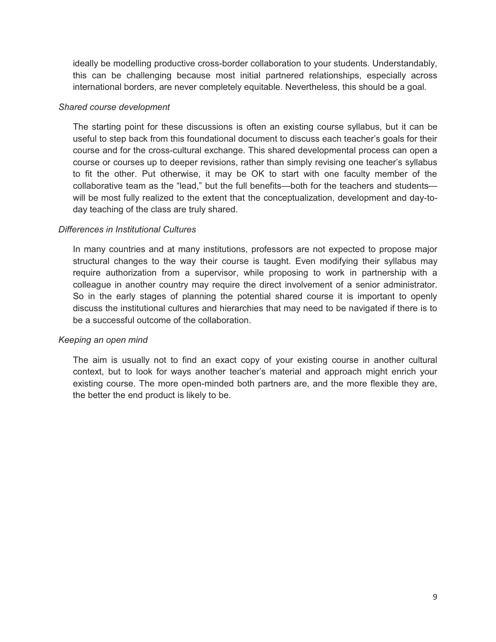ideally be modelling productive cross-border collaboration to your students. Understandably, this can be challenging because most initial partnered relationships, especially across international borders, are never completely equitable. Nevertheless, this should be a goal.

#### *Shared course development*

The starting point for these discussions is often an existing course syllabus, but it can be useful to step back from this foundational document to discuss each teacher's goals for their course and for the cross-cultural exchange. This shared developmental process can open a course or courses up to deeper revisions, rather than simply revising one teacher's syllabus to fit the other. Put otherwise, it may be OK to start with one faculty member of the collaborative team as the "lead," but the full benefits—both for the teachers and students will be most fully realized to the extent that the conceptualization, development and day-today teaching of the class are truly shared.

#### *Differences in Institutional Cultures*

In many countries and at many institutions, professors are not expected to propose major structural changes to the way their course is taught. Even modifying their syllabus may require authorization from a supervisor, while proposing to work in partnership with a colleague in another country may require the direct involvement of a senior administrator. So in the early stages of planning the potential shared course it is important to openly discuss the institutional cultures and hierarchies that may need to be navigated if there is to be a successful outcome of the collaboration.

#### *Keeping an open mind*

The aim is usually not to find an exact copy of your existing course in another cultural context, but to look for ways another teacher's material and approach might enrich your existing course. The more open-minded both partners are, and the more flexible they are, the better the end product is likely to be.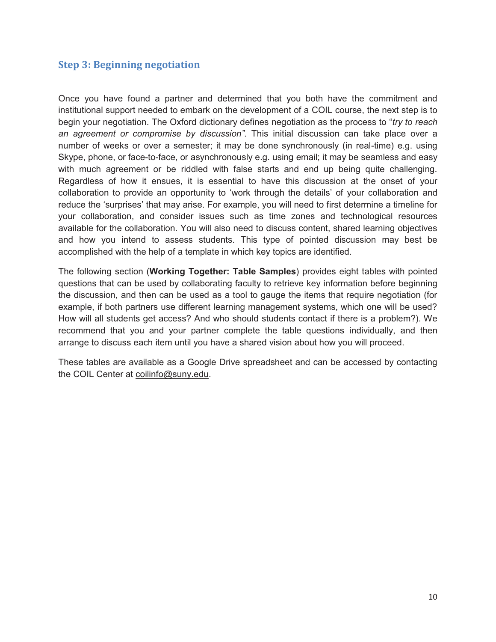# **Step 3: Beginning negotiation**

Once you have found a partner and determined that you both have the commitment and institutional support needed to embark on the development of a COIL course, the next step is to begin your negotiation. The Oxford dictionary defines negotiation as the process to "*try to reach an agreement or compromise by discussion"*. This initial discussion can take place over a number of weeks or over a semester; it may be done synchronously (in real-time) e.g. using Skype, phone, or face-to-face, or asynchronously e.g. using email; it may be seamless and easy with much agreement or be riddled with false starts and end up being quite challenging. Regardless of how it ensues, it is essential to have this discussion at the onset of your collaboration to provide an opportunity to 'work through the details' of your collaboration and reduce the 'surprises' that may arise. For example, you will need to first determine a timeline for your collaboration, and consider issues such as time zones and technological resources available for the collaboration. You will also need to discuss content, shared learning objectives and how you intend to assess students. This type of pointed discussion may best be accomplished with the help of a template in which key topics are identified.

The following section (**Working Together: Table Samples**) provides eight tables with pointed questions that can be used by collaborating faculty to retrieve key information before beginning the discussion, and then can be used as a tool to gauge the items that require negotiation (for example, if both partners use different learning management systems, which one will be used? How will all students get access? And who should students contact if there is a problem?). We recommend that you and your partner complete the table questions individually, and then arrange to discuss each item until you have a shared vision about how you will proceed.

These tables are available as a Google Drive spreadsheet and can be accessed by contacting the COIL Center at coilinfo@suny.edu.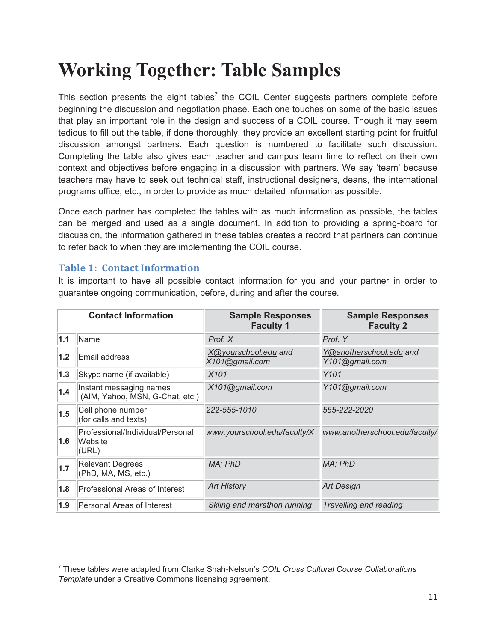# **Working Together: Table Samples**

This section presents the eight tables<sup>7</sup> the COIL Center suggests partners complete before beginning the discussion and negotiation phase. Each one touches on some of the basic issues that play an important role in the design and success of a COIL course. Though it may seem tedious to fill out the table, if done thoroughly, they provide an excellent starting point for fruitful discussion amongst partners. Each question is numbered to facilitate such discussion. Completing the table also gives each teacher and campus team time to reflect on their own context and objectives before engaging in a discussion with partners. We say 'team' because teachers may have to seek out technical staff, instructional designers, deans, the international programs office, etc., in order to provide as much detailed information as possible.

Once each partner has completed the tables with as much information as possible, the tables can be merged and used as a single document. In addition to providing a spring-board for discussion, the information gathered in these tables creates a record that partners can continue to refer back to when they are implementing the COIL course.

### **Table 1: Contact Information**

 $\overline{a}$ 

It is important to have all possible contact information for you and your partner in order to guarantee ongoing communication, before, during and after the course.

|     | <b>Contact Information</b>                                 | <b>Sample Responses</b><br><b>Faculty 1</b> | <b>Sample Responses</b><br><b>Faculty 2</b> |
|-----|------------------------------------------------------------|---------------------------------------------|---------------------------------------------|
| 1.1 | Name                                                       | Prof. X                                     | Prof. Y                                     |
| 1.2 | Email address                                              | X@yourschool.edu and<br>X101@gmail.com      | Y@anotherschool.edu and<br>Y101@gmail.com   |
| 1.3 | Skype name (if available)                                  | X101                                        | Y101                                        |
| 1.4 | Instant messaging names<br>(AIM, Yahoo, MSN, G-Chat, etc.) | X101@gmail.com                              | Y101@gmail.com                              |
| 1.5 | Cell phone number<br>(for calls and texts)                 | 222-555-1010                                | 555-222-2020                                |
| 1.6 | Professional/Individual/Personal<br>Website<br>(URL)       | www.yourschool.edu/faculty/X                | www.anotherschool.edu/faculty/              |
| 1.7 | <b>Relevant Degrees</b><br>(PhD, MA, MS, etc.)             | MA; PhD                                     | MA; PhD                                     |
| 1.8 | Professional Areas of Interest                             | <b>Art History</b>                          | <b>Art Design</b>                           |
| 1.9 | Personal Areas of Interest                                 | Skiing and marathon running                 | Travelling and reading                      |

<sup>7</sup> These tables were adapted from Clarke Shah-Nelson's *COIL Cross Cultural Course Collaborations Template* under a Creative Commons licensing agreement.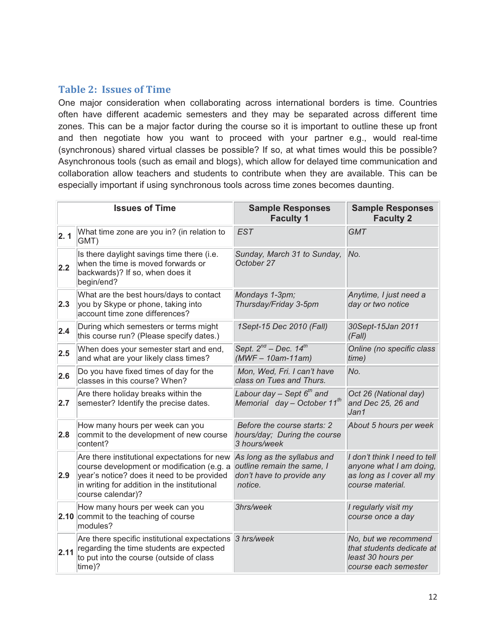# **Table 2: Issues of Time**

One major consideration when collaborating across international borders is time. Countries often have different academic semesters and they may be separated across different time zones. This can be a major factor during the course so it is important to outline these up front and then negotiate how you want to proceed with your partner e.g., would real-time (synchronous) shared virtual classes be possible? If so, at what times would this be possible? Asynchronous tools (such as email and blogs), which allow for delayed time communication and collaboration allow teachers and students to contribute when they are available. This can be especially important if using synchronous tools across time zones becomes daunting.

|      | <b>Issues of Time</b>                                                                                                                                                                                         | <b>Sample Responses</b><br><b>Faculty 1</b>                                                       | <b>Sample Responses</b><br><b>Faculty 2</b>                                                              |
|------|---------------------------------------------------------------------------------------------------------------------------------------------------------------------------------------------------------------|---------------------------------------------------------------------------------------------------|----------------------------------------------------------------------------------------------------------|
| 2.1  | What time zone are you in? (in relation to<br>GMT)                                                                                                                                                            | <b>EST</b>                                                                                        | <b>GMT</b>                                                                                               |
| 2.2  | Is there daylight savings time there (i.e.<br>when the time is moved forwards or<br>backwards)? If so, when does it<br>begin/end?                                                                             | Sunday, March 31 to Sunday,<br>October 27                                                         | No.                                                                                                      |
| 2.3  | What are the best hours/days to contact<br>you by Skype or phone, taking into<br>account time zone differences?                                                                                               | Mondays 1-3pm;<br>Thursday/Friday 3-5pm                                                           | Anytime, I just need a<br>day or two notice                                                              |
| 2.4  | During which semesters or terms might<br>this course run? (Please specify dates.)                                                                                                                             | 1Sept-15 Dec 2010 (Fall)                                                                          | 30Sept-15Jan 2011<br>(Fall)                                                                              |
| 2.5  | When does your semester start and end,<br>and what are your likely class times?                                                                                                                               | Sept. $2^{nd}$ - Dec. 14 <sup>th</sup><br>$(MWF-10am-11am)$                                       | Online (no specific class<br>time)                                                                       |
| 2.6  | Do you have fixed times of day for the<br>classes in this course? When?                                                                                                                                       | Mon, Wed, Fri. I can't have<br>class on Tues and Thurs.                                           | No.                                                                                                      |
| 2.7  | Are there holiday breaks within the<br>semester? Identify the precise dates.                                                                                                                                  | Labour day $-$ Sept $6th$ and<br>Memorial day - October 11 <sup>th</sup>                          | Oct 26 (National day)<br>and Dec 25, 26 and<br>Jan1                                                      |
| 2.8  | How many hours per week can you<br>commit to the development of new course<br>content?                                                                                                                        | Before the course starts: 2<br>hours/day; During the course<br>3 hours/week                       | About 5 hours per week                                                                                   |
| 2.9  | Are there institutional expectations for new<br>course development or modification (e.g. a<br>year's notice? does it need to be provided<br>in writing for addition in the institutional<br>course calendar)? | As long as the syllabus and<br>outline remain the same, I<br>don't have to provide any<br>notice. | I don't think I need to tell<br>anyone what I am doing,<br>as long as I cover all my<br>course material. |
|      | How many hours per week can you<br>2.10 commit to the teaching of course<br>modules?                                                                                                                          | 3hrs/week                                                                                         | I regularly visit my<br>course once a day                                                                |
| 2.11 | Are there specific institutional expectations 3 hrs/week<br>regarding the time students are expected<br>to put into the course (outside of class<br>time)?                                                    |                                                                                                   | No, but we recommend<br>that students dedicate at<br>least 30 hours per<br>course each semester          |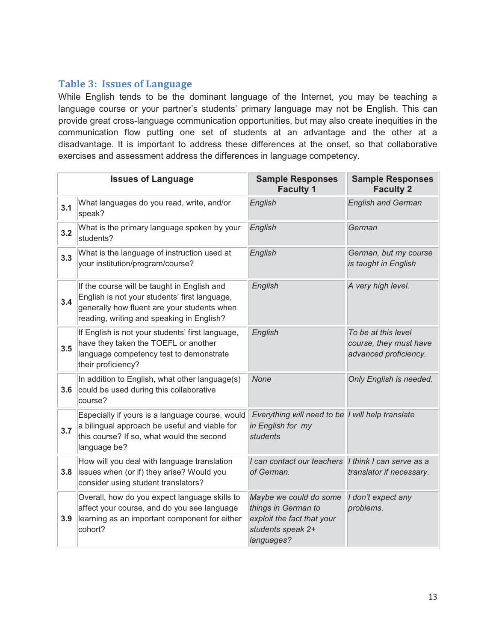# **Table 3: Issues of Language**

While English tends to be the dominant language of the Internet, you may be teaching a language course or your partner's students' primary language may not be English. This can provide great cross-language communication opportunities, but may also create inequities in the communication flow putting one set of students at an advantage and the other at a disadvantage. It is important to address these differences at the onset, so that collaborative exercises and assessment address the differences in language competency.

|     | <b>Issues of Language</b>                                                                                                                                                                | <b>Sample Responses</b><br><b>Faculty 1</b>                                                                    | <b>Sample Responses</b><br><b>Faculty 2</b>                            |
|-----|------------------------------------------------------------------------------------------------------------------------------------------------------------------------------------------|----------------------------------------------------------------------------------------------------------------|------------------------------------------------------------------------|
| 3.1 | What languages do you read, write, and/or<br>speak?                                                                                                                                      | English                                                                                                        | <b>English and German</b>                                              |
| 3.2 | What is the primary language spoken by your<br>students?                                                                                                                                 | English                                                                                                        | German                                                                 |
| 3.3 | What is the language of instruction used at<br>your institution/program/course?                                                                                                          | English                                                                                                        | German, but my course<br>is taught in English                          |
| 3.4 | If the course will be taught in English and<br>English is not your students' first language,<br>generally how fluent are your students when<br>reading, writing and speaking in English? | English                                                                                                        | A very high level.                                                     |
| 3.5 | If English is not your students' first language,<br>have they taken the TOEFL or another<br>language competency test to demonstrate<br>their proficiency?                                | English                                                                                                        | To be at this level<br>course, they must have<br>advanced proficiency. |
| 3.6 | In addition to English, what other language(s)<br>could be used during this collaborative<br>course?                                                                                     | <b>None</b>                                                                                                    | Only English is needed.                                                |
| 3.7 | Especially if yours is a language course, would<br>a bilingual approach be useful and viable for<br>this course? If so, what would the second<br>language be?                            | Everything will need to be I will help translate<br>in English for my<br>students                              |                                                                        |
| 3.8 | How will you deal with language translation<br>issues when (or if) they arise? Would you<br>consider using student translators?                                                          | I can contact our teachers I think I can serve as a<br>of German.                                              | translator if necessary.                                               |
| 3.9 | Overall, how do you expect language skills to<br>affect your course, and do you see language<br>learning as an important component for either<br>cohort?                                 | Maybe we could do some<br>things in German to<br>exploit the fact that your<br>students speak 2+<br>languages? | I don't expect any<br>problems.                                        |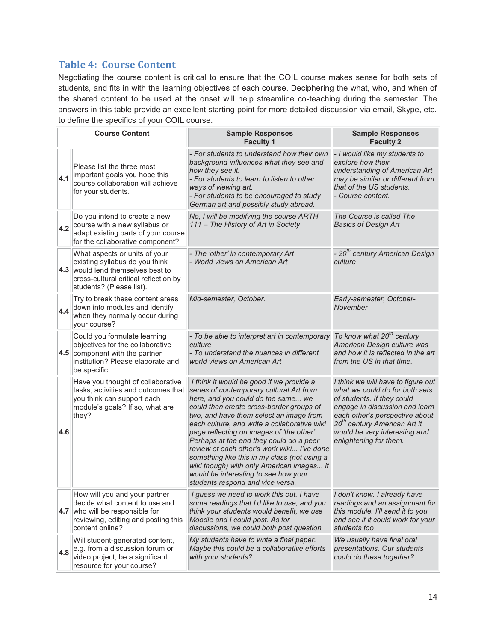# **Table 4: Course Content**

Negotiating the course content is critical to ensure that the COIL course makes sense for both sets of students, and fits in with the learning objectives of each course. Deciphering the what, who, and when of the shared content to be used at the onset will help streamline co-teaching during the semester. The answers in this table provide an excellent starting point for more detailed discussion via email, Skype, etc. to define the specifics of your COIL course.

|                                                                                                                                                                           | <b>Course Content</b>                                                                                                                                                     | <b>Sample Responses</b><br><b>Faculty 1</b>                                                                                                                                                                                                                                                                                                                                                                                                                                                                                                                                     | <b>Sample Responses</b><br><b>Faculty 2</b>                                                                                                                                                                                                                                   |
|---------------------------------------------------------------------------------------------------------------------------------------------------------------------------|---------------------------------------------------------------------------------------------------------------------------------------------------------------------------|---------------------------------------------------------------------------------------------------------------------------------------------------------------------------------------------------------------------------------------------------------------------------------------------------------------------------------------------------------------------------------------------------------------------------------------------------------------------------------------------------------------------------------------------------------------------------------|-------------------------------------------------------------------------------------------------------------------------------------------------------------------------------------------------------------------------------------------------------------------------------|
| Please list the three most<br>how they see it.<br>important goals you hope this<br>4.1<br>course collaboration will achieve<br>ways of viewing art.<br>for your students. |                                                                                                                                                                           | - For students to understand how their own<br>background influences what they see and<br>- For students to learn to listen to other<br>- For students to be encouraged to study<br>German art and possibly study abroad.                                                                                                                                                                                                                                                                                                                                                        | - I would like my students to<br>explore how their<br>understanding of American Art<br>may be similar or different from<br>that of the US students.<br>- Course content.                                                                                                      |
| 4.2                                                                                                                                                                       | Do you intend to create a new<br>course with a new syllabus or<br>adapt existing parts of your course<br>for the collaborative component?                                 | No, I will be modifying the course ARTH<br>111 - The History of Art in Society                                                                                                                                                                                                                                                                                                                                                                                                                                                                                                  | The Course is called The<br><b>Basics of Design Art</b>                                                                                                                                                                                                                       |
|                                                                                                                                                                           | What aspects or units of your<br>existing syllabus do you think<br>4.3 would lend themselves best to<br>cross-cultural critical reflection by<br>students? (Please list). | - The 'other' in contemporary Art<br>- World views on American Art                                                                                                                                                                                                                                                                                                                                                                                                                                                                                                              | - 20 <sup>th</sup> century American Design<br>culture                                                                                                                                                                                                                         |
| 4.4                                                                                                                                                                       | Try to break these content areas<br>down into modules and identify<br>when they normally occur during<br>your course?                                                     | Mid-semester, October.                                                                                                                                                                                                                                                                                                                                                                                                                                                                                                                                                          | Early-semester, October-<br>November                                                                                                                                                                                                                                          |
|                                                                                                                                                                           | Could you formulate learning<br>objectives for the collaborative<br>4.5 component with the partner<br>institution? Please elaborate and<br>be specific.                   | - To be able to interpret art in contemporary<br>culture<br>- To understand the nuances in different<br>world views on American Art                                                                                                                                                                                                                                                                                                                                                                                                                                             | To know what 20 <sup>th</sup> century<br>American Design culture was<br>and how it is reflected in the art<br>from the US in that time.                                                                                                                                       |
| 4.6                                                                                                                                                                       | Have you thought of collaborative<br>tasks, activities and outcomes that<br>you think can support each<br>module's goals? If so, what are<br>they?                        | I think it would be good if we provide a<br>series of contemporary cultural Art from<br>here, and you could do the same we<br>could then create cross-border groups of<br>two, and have them select an image from<br>each culture, and write a collaborative wiki<br>page reflecting on images of 'the other'<br>Perhaps at the end they could do a peer<br>review of each other's work wiki I've done<br>something like this in my class (not using a<br>wiki though) with only American images it<br>would be interesting to see how your<br>students respond and vice versa. | I think we will have to figure out<br>what we could do for both sets<br>of students. If they could<br>engage in discussion and learn<br>each other's perspective about<br>20 <sup>th</sup> century American Art it<br>would be very interesting and<br>enlightening for them. |
|                                                                                                                                                                           | How will you and your partner<br>decide what content to use and<br>4.7 who will be responsible for<br>reviewing, editing and posting this<br>content online?              | I guess we need to work this out. I have<br>some readings that I'd like to use, and you<br>think your students would benefit, we use<br>Moodle and I could post. As for<br>discussions, we could both post question                                                                                                                                                                                                                                                                                                                                                             | I don't know. I already have<br>readings and an assignment for<br>this module. I'll send it to you<br>and see if it could work for your<br>students too                                                                                                                       |
| 4.8                                                                                                                                                                       | Will student-generated content,<br>e.g. from a discussion forum or<br>video project, be a significant<br>resource for your course?                                        | My students have to write a final paper.<br>Maybe this could be a collaborative efforts<br>with your students?                                                                                                                                                                                                                                                                                                                                                                                                                                                                  | We usually have final oral<br>presentations. Our students<br>could do these together?                                                                                                                                                                                         |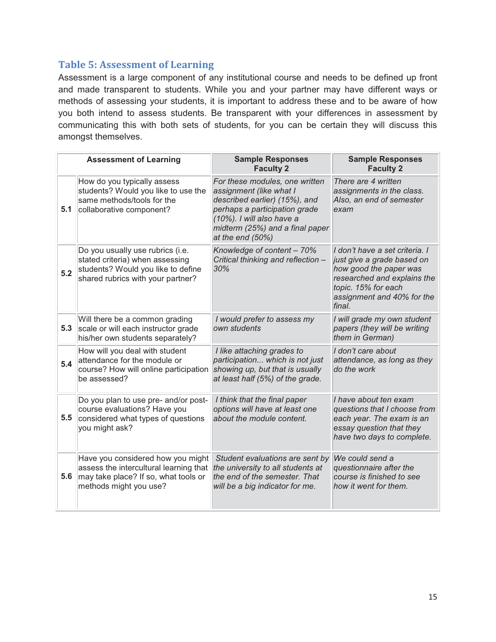# **Table 5: Assessment of Learning**

Assessment is a large component of any institutional course and needs to be defined up front and made transparent to students. While you and your partner may have different ways or methods of assessing your students, it is important to address these and to be aware of how you both intend to assess students. Be transparent with your differences in assessment by communicating this with both sets of students, for you can be certain they will discuss this amongst themselves.

|     | <b>Assessment of Learning</b>                                                                                                                  | <b>Sample Responses</b><br><b>Faculty 2</b>                                                                                                                                                                     | <b>Sample Responses</b><br><b>Faculty 2</b>                                                                                                                                          |
|-----|------------------------------------------------------------------------------------------------------------------------------------------------|-----------------------------------------------------------------------------------------------------------------------------------------------------------------------------------------------------------------|--------------------------------------------------------------------------------------------------------------------------------------------------------------------------------------|
| 5.1 | How do you typically assess<br>students? Would you like to use the<br>same methods/tools for the<br>collaborative component?                   | For these modules, one written<br>assignment (like what I<br>described earlier) (15%), and<br>perhaps a participation grade<br>(10%). I will also have a<br>midterm (25%) and a final paper<br>at the end (50%) | There are 4 written<br>assignments in the class.<br>Also, an end of semester<br>exam                                                                                                 |
| 5.2 | Do you usually use rubrics (i.e.<br>stated criteria) when assessing<br>students? Would you like to define<br>shared rubrics with your partner? | Knowledge of content - 70%<br>Critical thinking and reflection -<br>30%                                                                                                                                         | I don't have a set criteria. I<br>just give a grade based on<br>how good the paper was<br>researched and explains the<br>topic. 15% for each<br>assignment and 40% for the<br>final. |
| 5.3 | Will there be a common grading<br>scale or will each instructor grade<br>his/her own students separately?                                      | I would prefer to assess my<br>own students                                                                                                                                                                     | I will grade my own student<br>papers (they will be writing<br>them in German)                                                                                                       |
| 5.4 | How will you deal with student<br>attendance for the module or<br>course? How will online participation<br>be assessed?                        | I like attaching grades to<br>participation which is not just<br>showing up, but that is usually<br>at least half (5%) of the grade.                                                                            | I don't care about<br>attendance, as long as they<br>do the work                                                                                                                     |
| 5.5 | Do you plan to use pre- and/or post-<br>course evaluations? Have you<br>considered what types of questions<br>you might ask?                   | I think that the final paper<br>options will have at least one<br>about the module content.                                                                                                                     | I have about ten exam<br>questions that I choose from<br>each year. The exam is an<br>essay question that they<br>have two days to complete.                                         |
| 5.6 | Have you considered how you might<br>assess the intercultural learning that<br>may take place? If so, what tools or<br>methods might you use?  | Student evaluations are sent by<br>the university to all students at<br>the end of the semester. That<br>will be a big indicator for me.                                                                        | We could send a<br>questionnaire after the<br>course is finished to see<br>how it went for them.                                                                                     |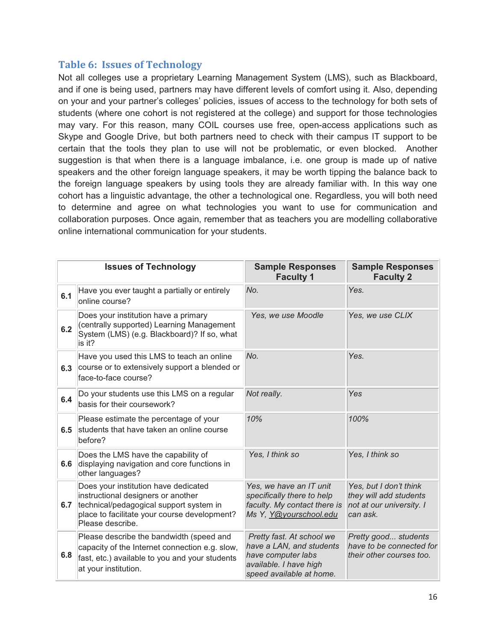### **Table 6: Issues of Technology**

Not all colleges use a proprietary Learning Management System (LMS), such as Blackboard, and if one is being used, partners may have different levels of comfort using it. Also, depending on your and your partner's colleges' policies, issues of access to the technology for both sets of students (where one cohort is not registered at the college) and support for those technologies may vary. For this reason, many COIL courses use free, open-access applications such as Skype and Google Drive, but both partners need to check with their campus IT support to be certain that the tools they plan to use will not be problematic, or even blocked. Another suggestion is that when there is a language imbalance, i.e. one group is made up of native speakers and the other foreign language speakers, it may be worth tipping the balance back to the foreign language speakers by using tools they are already familiar with. In this way one cohort has a linguistic advantage, the other a technological one. Regardless, you will both need to determine and agree on what technologies you want to use for communication and collaboration purposes. Once again, remember that as teachers you are modelling collaborative online international communication for your students.

|     | <b>Issues of Technology</b>                                                                                                                                                               | <b>Sample Responses</b><br><b>Faculty 1</b>                                                                                       | <b>Sample Responses</b><br><b>Faculty 2</b>                                              |
|-----|-------------------------------------------------------------------------------------------------------------------------------------------------------------------------------------------|-----------------------------------------------------------------------------------------------------------------------------------|------------------------------------------------------------------------------------------|
| 6.1 | Have you ever taught a partially or entirely<br>online course?                                                                                                                            | No.                                                                                                                               | Yes.                                                                                     |
| 6.2 | Does your institution have a primary<br>(centrally supported) Learning Management<br>System (LMS) (e.g. Blackboard)? If so, what<br>is it?                                                | Yes, we use Moodle                                                                                                                | Yes, we use CLIX                                                                         |
| 6.3 | Have you used this LMS to teach an online<br>course or to extensively support a blended or<br>face-to-face course?                                                                        | No.                                                                                                                               | Yes.                                                                                     |
| 6.4 | Do your students use this LMS on a regular<br>basis for their coursework?                                                                                                                 | Not really.                                                                                                                       | Yes                                                                                      |
| 6.5 | Please estimate the percentage of your<br>students that have taken an online course<br>before?                                                                                            | 10%                                                                                                                               | 100%                                                                                     |
| 6.6 | Does the LMS have the capability of<br>displaying navigation and core functions in<br>other languages?                                                                                    | Yes, I think so                                                                                                                   | Yes, I think so                                                                          |
| 6.7 | Does your institution have dedicated<br>instructional designers or another<br>technical/pedagogical support system in<br>place to facilitate your course development?<br>Please describe. | Yes, we have an IT unit<br>specifically there to help<br>faculty. My contact there is<br>Ms Y, Y@yourschool.edu                   | Yes, but I don't think<br>they will add students<br>not at our university. I<br>can ask. |
| 6.8 | Please describe the bandwidth (speed and<br>capacity of the Internet connection e.g. slow,<br>fast, etc.) available to you and your students<br>at your institution.                      | Pretty fast. At school we<br>have a LAN, and students<br>have computer labs<br>available. I have high<br>speed available at home. | Pretty good students<br>have to be connected for<br>their other courses too.             |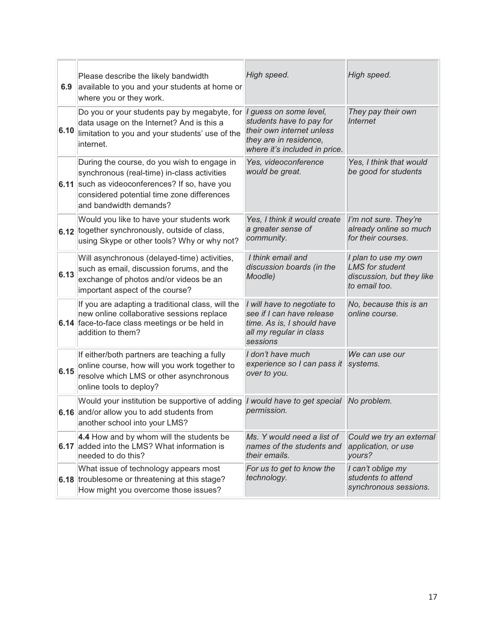| 6.9  | Please describe the likely bandwidth<br>available to you and your students at home or<br>where you or they work.                                                                                                | High speed.                                                                                                                                | High speed.                                                                                  |
|------|-----------------------------------------------------------------------------------------------------------------------------------------------------------------------------------------------------------------|--------------------------------------------------------------------------------------------------------------------------------------------|----------------------------------------------------------------------------------------------|
| 6.10 | Do you or your students pay by megabyte, for<br>data usage on the Internet? And is this a<br>limitation to you and your students' use of the<br>internet.                                                       | I guess on some level,<br>students have to pay for<br>their own internet unless<br>they are in residence,<br>where it's included in price. | They pay their own<br><b>Internet</b>                                                        |
| 6.11 | During the course, do you wish to engage in<br>synchronous (real-time) in-class activities<br>such as videoconferences? If so, have you<br>considered potential time zone differences<br>and bandwidth demands? | Yes, videoconference<br>would be great.                                                                                                    | Yes, I think that would<br>be good for students                                              |
| 6.12 | Would you like to have your students work<br>together synchronously, outside of class,<br>using Skype or other tools? Why or why not?                                                                           | Yes, I think it would create<br>a greater sense of<br>community.                                                                           | I'm not sure. They're<br>already online so much<br>for their courses.                        |
| 6.13 | Will asynchronous (delayed-time) activities,<br>such as email, discussion forums, and the<br>exchange of photos and/or videos be an<br>important aspect of the course?                                          | I think email and<br>discussion boards (in the<br>Moodle)                                                                                  | I plan to use my own<br><b>LMS</b> for student<br>discussion, but they like<br>to email too. |
|      | If you are adapting a traditional class, will the<br>new online collaborative sessions replace<br>6.14 face-to-face class meetings or be held in<br>addition to them?                                           | I will have to negotiate to<br>see if I can have release<br>time. As is, I should have<br>all my regular in class<br>sessions              | No, because this is an<br>online course.                                                     |
| 6.15 | If either/both partners are teaching a fully<br>online course, how will you work together to<br>resolve which LMS or other asynchronous<br>online tools to deploy?                                              | I don't have much<br>experience so I can pass it<br>over to you.                                                                           | We can use our<br>systems.                                                                   |
|      | Would your institution be supportive of adding<br>6.16 and/or allow you to add students from<br>another school into your LMS?                                                                                   | I would have to get special<br>permission.                                                                                                 | No problem.                                                                                  |
| 6.17 | 4.4 How and by whom will the students be<br>added into the LMS? What information is<br>needed to do this?                                                                                                       | Ms. Y would need a list of<br>names of the students and<br>their emails.                                                                   | Could we try an external<br>application, or use<br>yours?                                    |
|      | What issue of technology appears most<br>6.18 troublesome or threatening at this stage?<br>How might you overcome those issues?                                                                                 | For us to get to know the<br>technology.                                                                                                   | I can't oblige my<br>students to attend<br>synchronous sessions.                             |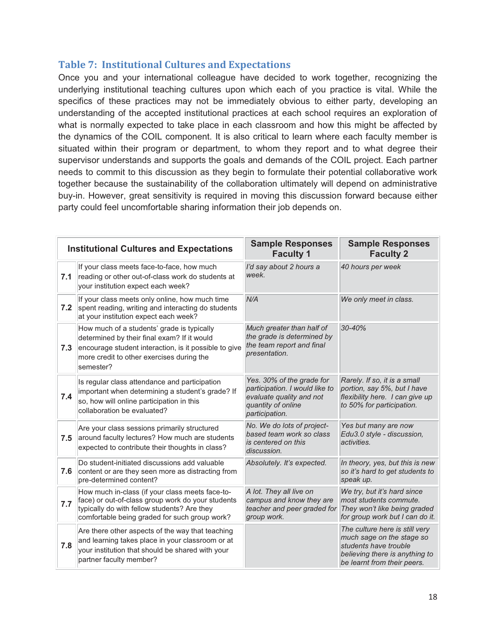## **Table 7: Institutional Cultures and Expectations**

Once you and your international colleague have decided to work together, recognizing the underlying institutional teaching cultures upon which each of you practice is vital. While the specifics of these practices may not be immediately obvious to either party, developing an understanding of the accepted institutional practices at each school requires an exploration of what is normally expected to take place in each classroom and how this might be affected by the dynamics of the COIL component. It is also critical to learn where each faculty member is situated within their program or department, to whom they report and to what degree their supervisor understands and supports the goals and demands of the COIL project. Each partner needs to commit to this discussion as they begin to formulate their potential collaborative work together because the sustainability of the collaboration ultimately will depend on administrative buy-in. However, great sensitivity is required in moving this discussion forward because either party could feel uncomfortable sharing information their job depends on.

|     | <b>Institutional Cultures and Expectations</b>                                                                                                                                                               | <b>Sample Responses</b><br><b>Faculty 1</b>                                                                                     | <b>Sample Responses</b><br><b>Faculty 2</b>                                                                                                           |
|-----|--------------------------------------------------------------------------------------------------------------------------------------------------------------------------------------------------------------|---------------------------------------------------------------------------------------------------------------------------------|-------------------------------------------------------------------------------------------------------------------------------------------------------|
| 7.1 | If your class meets face-to-face, how much<br>reading or other out-of-class work do students at<br>your institution expect each week?                                                                        | I'd say about 2 hours a<br>week.                                                                                                | 40 hours per week                                                                                                                                     |
| 7.2 | If your class meets only online, how much time<br>spent reading, writing and interacting do students<br>at your institution expect each week?                                                                | N/A                                                                                                                             | We only meet in class.                                                                                                                                |
| 7.3 | How much of a students' grade is typically<br>determined by their final exam? If it would<br>encourage student interaction, is it possible to give<br>more credit to other exercises during the<br>semester? | Much greater than half of<br>the grade is determined by<br>the team report and final<br>presentation.                           | 30-40%                                                                                                                                                |
| 7.4 | Is regular class attendance and participation<br>important when determining a student's grade? If<br>so, how will online participation in this<br>collaboration be evaluated?                                | Yes. 30% of the grade for<br>participation. I would like to<br>evaluate quality and not<br>quantity of online<br>participation. | Rarely. If so, it is a small<br>portion, say 5%, but I have<br>flexibility here. I can give up<br>to 50% for participation.                           |
| 7.5 | Are your class sessions primarily structured<br>around faculty lectures? How much are students<br>expected to contribute their thoughts in class?                                                            | No. We do lots of project-<br>based team work so class<br>is centered on this<br>discussion.                                    | Yes but many are now<br>Edu3.0 style - discussion,<br>activities.                                                                                     |
| 7.6 | Do student-initiated discussions add valuable<br>content or are they seen more as distracting from<br>pre-determined content?                                                                                | Absolutely. It's expected.                                                                                                      | In theory, yes, but this is new<br>so it's hard to get students to<br>speak up.                                                                       |
| 7.7 | How much in-class (if your class meets face-to-<br>face) or out-of-class group work do your students<br>typically do with fellow students? Are they<br>comfortable being graded for such group work?         | A lot. They all live on<br>campus and know they are<br>teacher and peer graded for<br>group work.                               | We try, but it's hard since<br>most students commute.<br>They won't like being graded<br>for group work but I can do it.                              |
| 7.8 | Are there other aspects of the way that teaching<br>and learning takes place in your classroom or at<br>your institution that should be shared with your<br>partner faculty member?                          |                                                                                                                                 | The culture here is still very<br>much sage on the stage so<br>students have trouble<br>believing there is anything to<br>be learnt from their peers. |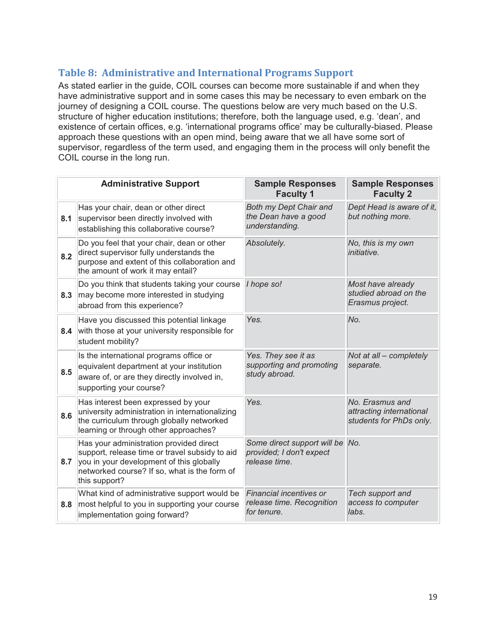# **Table 8: Administrative and International Programs Support**

As stated earlier in the guide, COIL courses can become more sustainable if and when they have administrative support and in some cases this may be necessary to even embark on the journey of designing a COIL course. The questions below are very much based on the U.S. structure of higher education institutions; therefore, both the language used, e.g. 'dean', and existence of certain offices, e.g. 'international programs office' may be culturally-biased. Please approach these questions with an open mind, being aware that we all have some sort of supervisor, regardless of the term used, and engaging them in the process will only benefit the COIL course in the long run.

|     | <b>Administrative Support</b>                                                                                                                                                                          | <b>Sample Responses</b><br><b>Faculty 1</b>                              | <b>Sample Responses</b><br><b>Faculty 2</b>                            |
|-----|--------------------------------------------------------------------------------------------------------------------------------------------------------------------------------------------------------|--------------------------------------------------------------------------|------------------------------------------------------------------------|
| 8.1 | Has your chair, dean or other direct<br>supervisor been directly involved with<br>establishing this collaborative course?                                                                              | Both my Dept Chair and<br>the Dean have a good<br>understanding.         | Dept Head is aware of it,<br>but nothing more.                         |
| 8.2 | Do you feel that your chair, dean or other<br>direct supervisor fully understands the<br>purpose and extent of this collaboration and<br>the amount of work it may entail?                             | Absolutely.                                                              | No, this is my own<br><i>initiative.</i>                               |
| 8.3 | Do you think that students taking your course<br>may become more interested in studying<br>abroad from this experience?                                                                                | I hope so!                                                               | Most have already<br>studied abroad on the<br>Erasmus project.         |
| 8.4 | Have you discussed this potential linkage<br>with those at your university responsible for<br>student mobility?                                                                                        | Yes.                                                                     | No.                                                                    |
| 8.5 | Is the international programs office or<br>equivalent department at your institution<br>aware of, or are they directly involved in,<br>supporting your course?                                         | Yes. They see it as<br>supporting and promoting<br>study abroad.         | Not at all - completely<br>separate.                                   |
| 8.6 | Has interest been expressed by your<br>university administration in internationalizing<br>the curriculum through globally networked<br>learning or through other approaches?                           | Yes.                                                                     | No. Erasmus and<br>attracting international<br>students for PhDs only. |
| 8.7 | Has your administration provided direct<br>support, release time or travel subsidy to aid<br>you in your development of this globally<br>networked course? If so, what is the form of<br>this support? | Some direct support will be<br>provided; I don't expect<br>release time. | No.                                                                    |
| 8.8 | What kind of administrative support would be<br>most helpful to you in supporting your course<br>implementation going forward?                                                                         | Financial incentives or<br>release time. Recognition<br>for tenure.      | Tech support and<br>access to computer<br>labs.                        |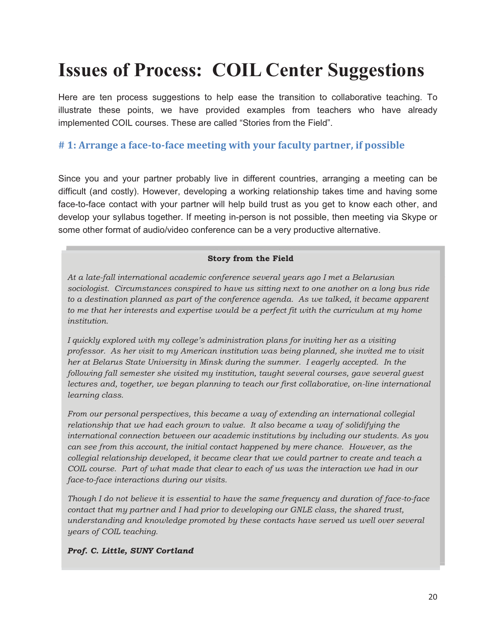# **Issues of Process: COIL Center Suggestions**

Here are ten process suggestions to help ease the transition to collaborative teaching. To illustrate these points, we have provided examples from teachers who have already implemented COIL courses. These are called "Stories from the Field".

# **# 1: Arrange a face-to-face meeting with your faculty partner, if possible**

Since you and your partner probably live in different countries, arranging a meeting can be difficult (and costly). However, developing a working relationship takes time and having some face-to-face contact with your partner will help build trust as you get to know each other, and develop your syllabus together. If meeting in-person is not possible, then meeting via Skype or some other format of audio/video conference can be a very productive alternative.

#### **Story from the Field**

*At a late-fall international academic conference several years ago I met a Belarusian sociologist. Circumstances conspired to have us sitting next to one another on a long bus ride to a destination planned as part of the conference agenda. As we talked, it became apparent to me that her interests and expertise would be a perfect fit with the curriculum at my home institution.* 

*I quickly explored with my college's administration plans for inviting her as a visiting professor. As her visit to my American institution was being planned, she invited me to visit her at Belarus State University in Minsk during the summer. I eagerly accepted. In the following fall semester she visited my institution, taught several courses, gave several guest lectures and, together, we began planning to teach our first collaborative, on-line international learning class.* 

*From our personal perspectives, this became a way of extending an international collegial relationship that we had each grown to value. It also became a way of solidifying the international connection between our academic institutions by including our students. As you can see from this account, the initial contact happened by mere chance. However, as the collegial relationship developed, it became clear that we could partner to create and teach a COIL course. Part of what made that clear to each of us was the interaction we had in our face-to-face interactions during our visits.* 

*Though I do not believe it is essential to have the same frequency and duration of face-to-face contact that my partner and I had prior to developing our GNLE class, the shared trust, understanding and knowledge promoted by these contacts have served us well over several years of COIL teaching.* 

#### *Prof. C. Little, SUNY Cortland*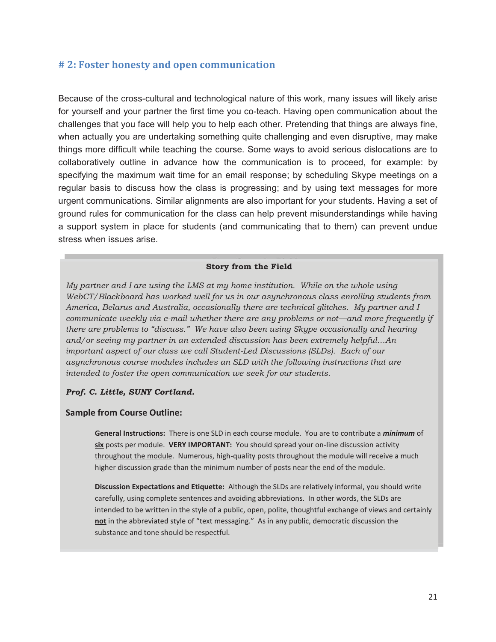#### **# 2: Foster honesty and open communication**

Because of the cross-cultural and technological nature of this work, many issues will likely arise for yourself and your partner the first time you co-teach. Having open communication about the challenges that you face will help you to help each other. Pretending that things are always fine, when actually you are undertaking something quite challenging and even disruptive, may make things more difficult while teaching the course. Some ways to avoid serious dislocations are to collaboratively outline in advance how the communication is to proceed, for example: by specifying the maximum wait time for an email response; by scheduling Skype meetings on a regular basis to discuss how the class is progressing; and by using text messages for more urgent communications. Similar alignments are also important for your students. Having a set of ground rules for communication for the class can help prevent misunderstandings while having a support system in place for students (and communicating that to them) can prevent undue stress when issues arise.

#### **Story from the Field**

*My partner and I are using the LMS at my home institution. While on the whole using WebCT/Blackboard has worked well for us in our asynchronous class enrolling students from America, Belarus and Australia, occasionally there are technical glitches. My partner and I communicate weekly via e-mail whether there are any problems or not—and more frequently if there are problems to "discuss." We have also been using Skype occasionally and hearing and/or seeing my partner in an extended discussion has been extremely helpful…An important aspect of our class we call Student-Led Discussions (SLDs). Each of our asynchronous course modules includes an SLD with the following instructions that are intended to foster the open communication we seek for our students.* 

#### *Prof. C. Little, SUNY Cortland.*

#### **Sample from Course Outline:**

**General Instructions:** There is one SLD in each course module. You are to contribute a *minimum* of **six** posts per module. **VERY IMPORTANT:** You should spread your on-line discussion activity throughout the module. Numerous, high-quality posts throughout the module will receive a much higher discussion grade than the minimum number of posts near the end of the module.

**Discussion Expectations and Etiquette:** Although the SLDs are relatively informal, you should write carefully, using complete sentences and avoiding abbreviations. In other words, the SLDs are intended to be written in the style of a public, open, polite, thoughtful exchange of views and certainly **not** in the abbreviated style of "text messaging." As in any public, democratic discussion the substance and tone should be respectful.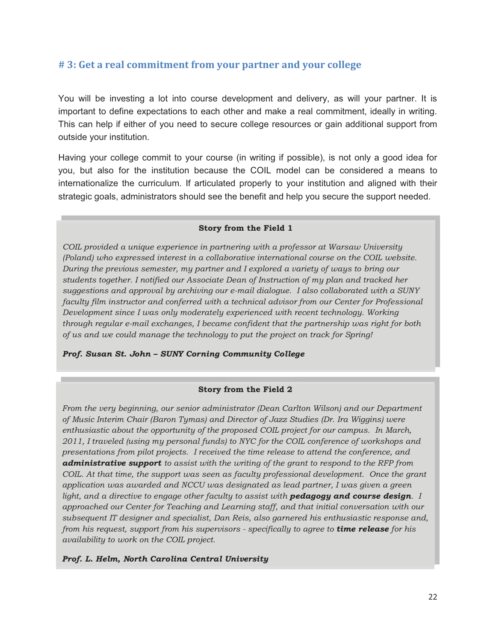# **# 3: Get a real commitment from your partner and your college**

You will be investing a lot into course development and delivery, as will your partner. It is important to define expectations to each other and make a real commitment, ideally in writing. This can help if either of you need to secure college resources or gain additional support from outside your institution.

Having your college commit to your course (in writing if possible), is not only a good idea for you, but also for the institution because the COIL model can be considered a means to internationalize the curriculum. If articulated properly to your institution and aligned with their strategic goals, administrators should see the benefit and help you secure the support needed.

#### **Story from the Field 1**

*COIL provided a unique experience in partnering with a professor at Warsaw University (Poland) who expressed interest in a collaborative international course on the COIL website. During the previous semester, my partner and I explored a variety of ways to bring our students together. I notified our Associate Dean of Instruction of my plan and tracked her suggestions and approval by archiving our e-mail dialogue. I also collaborated with a SUNY faculty film instructor and conferred with a technical advisor from our Center for Professional Development since I was only moderately experienced with recent technology. Working through regular e-mail exchanges, I became confident that the partnership was right for both of us and we could manage the technology to put the project on track for Spring!* 

*Prof. Susan St. John – SUNY Corning Community College* 

#### **Story from the Field 2**

*From the very beginning, our senior administrator (Dean Carlton Wilson) and our Department of Music Interim Chair (Baron Tymas) and Director of Jazz Studies (Dr. Ira Wiggins) were enthusiastic about the opportunity of the proposed COIL project for our campus. In March, 2011, I traveled (using my personal funds) to NYC for the COIL conference of workshops and presentations from pilot projects. I received the time release to attend the conference, and administrative support to assist with the writing of the grant to respond to the RFP from COIL. At that time, the support was seen as faculty professional development. Once the grant application was awarded and NCCU was designated as lead partner, I was given a green light, and a directive to engage other faculty to assist with pedagogy and course design. I approached our Center for Teaching and Learning staff, and that initial conversation with our subsequent IT designer and specialist, Dan Reis, also garnered his enthusiastic response and, from his request, support from his supervisors - specifically to agree to time release for his availability to work on the COIL project.* 

*Prof. L. Helm, North Carolina Central University*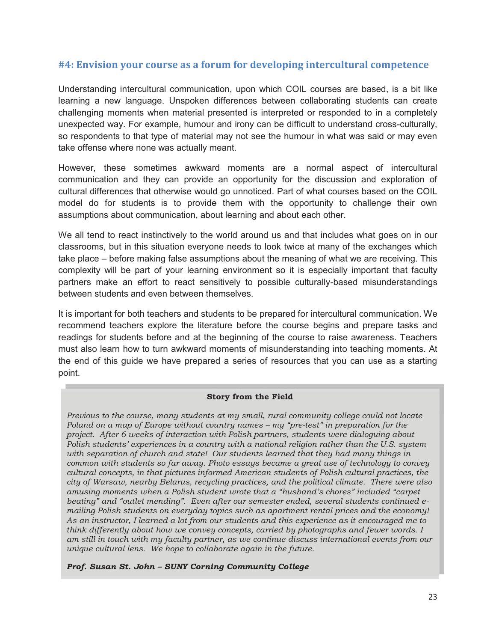# **#4: Envision your course as a forum for developing intercultural competence**

Understanding intercultural communication, upon which COIL courses are based, is a bit like learning a new language. Unspoken differences between collaborating students can create challenging moments when material presented is interpreted or responded to in a completely unexpected way. For example, humour and irony can be difficult to understand cross-culturally, so respondents to that type of material may not see the humour in what was said or may even take offense where none was actually meant.

However, these sometimes awkward moments are a normal aspect of intercultural communication and they can provide an opportunity for the discussion and exploration of cultural differences that otherwise would go unnoticed. Part of what courses based on the COIL model do for students is to provide them with the opportunity to challenge their own assumptions about communication, about learning and about each other.

We all tend to react instinctively to the world around us and that includes what goes on in our classrooms, but in this situation everyone needs to look twice at many of the exchanges which take place – before making false assumptions about the meaning of what we are receiving. This complexity will be part of your learning environment so it is especially important that faculty partners make an effort to react sensitively to possible culturally-based misunderstandings between students and even between themselves.

It is important for both teachers and students to be prepared for intercultural communication. We recommend teachers explore the literature before the course begins and prepare tasks and readings for students before and at the beginning of the course to raise awareness. Teachers must also learn how to turn awkward moments of misunderstanding into teaching moments. At the end of this guide we have prepared a series of resources that you can use as a starting point.

#### **Story from the Field**

*Previous to the course, many students at my small, rural community college could not locate Poland on a map of Europe without country names – my "pre-test" in preparation for the project. After 6 weeks of interaction with Polish partners, students were dialoguing about Polish students' experiences in a country with a national religion rather than the U.S. system with separation of church and state! Our students learned that they had many things in common with students so far away. Photo essays became a great use of technology to convey cultural concepts, in that pictures informed American students of Polish cultural practices, the city of Warsaw, nearby Belarus, recycling practices, and the political climate. There were also amusing moments when a Polish student wrote that a "husband's chores" included "carpet beating" and "outlet mending". Even after our semester ended, several students continued emailing Polish students on everyday topics such as apartment rental prices and the economy! As an instructor, I learned a lot from our students and this experience as it encouraged me to think differently about how we convey concepts, carried by photographs and fewer words. I am still in touch with my faculty partner, as we continue discuss international events from our unique cultural lens. We hope to collaborate again in the future.* 

*Prof. Susan St. John – SUNY Corning Community College*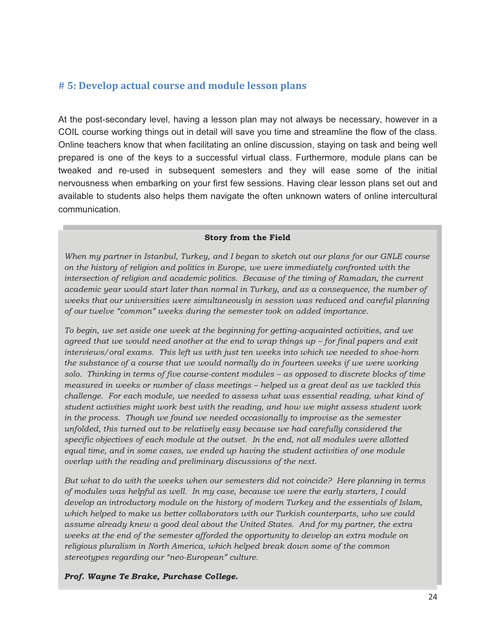# **# 5: Develop actual course and module lesson plans**

At the post-secondary level, having a lesson plan may not always be necessary, however in a COIL course working things out in detail will save you time and streamline the flow of the class. Online teachers know that when facilitating an online discussion, staying on task and being well prepared is one of the keys to a successful virtual class. Furthermore, module plans can be tweaked and re-used in subsequent semesters and they will ease some of the initial nervousness when embarking on your first few sessions. Having clear lesson plans set out and available to students also helps them navigate the often unknown waters of online intercultural communication.

#### **Story from the Field**

*When my partner in Istanbul, Turkey, and I began to sketch out our plans for our GNLE course on the history of religion and politics in Europe, we were immediately confronted with the intersection of religion and academic politics. Because of the timing of Ramadan, the current academic year would start later than normal in Turkey, and as a consequence, the number of weeks that our universities were simultaneously in session was reduced and careful planning of our twelve "common" weeks during the semester took on added importance.* 

*To begin, we set aside one week at the beginning for getting-acquainted activities, and we agreed that we would need another at the end to wrap things up – for final papers and exit interviews/oral exams. This left us with just ten weeks into which we needed to shoe-horn the substance of a course that we would normally do in fourteen weeks if we were working solo. Thinking in terms of five course-content modules – as opposed to discrete blocks of time measured in weeks or number of class meetings – helped us a great deal as we tackled this challenge. For each module, we needed to assess what was essential reading, what kind of student activities might work best with the reading, and how we might assess student work in the process. Though we found we needed occasionally to improvise as the semester unfolded, this turned out to be relatively easy because we had carefully considered the specific objectives of each module at the outset. In the end, not all modules were allotted equal time, and in some cases, we ended up having the student activities of one module overlap with the reading and preliminary discussions of the next.* 

*But what to do with the weeks when our semesters did not coincide? Here planning in terms of modules was helpful as well. In my case, because we were the early starters, I could develop an introductory module on the history of modern Turkey and the essentials of Islam, which helped to make us better collaborators with our Turkish counterparts, who we could assume already knew a good deal about the United States. And for my partner, the extra weeks at the end of the semester afforded the opportunity to develop an extra module on religious pluralism in North America, which helped break down some of the common stereotypes regarding our "neo-European" culture.*

#### *Prof. Wayne Te Brake, Purchase College.*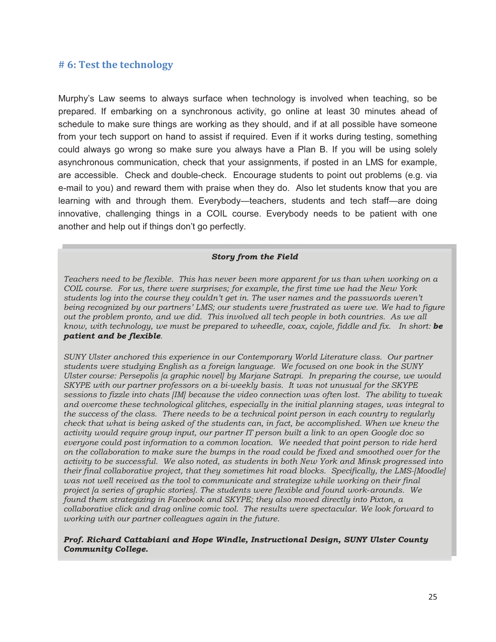#### **# 6: Test the technology**

Murphy's Law seems to always surface when technology is involved when teaching, so be prepared. If embarking on a synchronous activity, go online at least 30 minutes ahead of schedule to make sure things are working as they should, and if at all possible have someone from your tech support on hand to assist if required. Even if it works during testing, something could always go wrong so make sure you always have a Plan B. If you will be using solely asynchronous communication, check that your assignments, if posted in an LMS for example, are accessible. Check and double-check. Encourage students to point out problems (e.g. via e-mail to you) and reward them with praise when they do. Also let students know that you are learning with and through them. Everybody—teachers, students and tech staff—are doing innovative, challenging things in a COIL course. Everybody needs to be patient with one another and help out if things don't go perfectly.

#### *Story from the Field*

*Teachers need to be flexible. This has never been more apparent for us than when working on a COIL course. For us, there were surprises; for example, the first time we had the New York students log into the course they couldn't get in. The user names and the passwords weren't being recognized by our partners' LMS; our students were frustrated as were we. We had to figure out the problem pronto, and we did. This involved all tech people in both countries. As we all know, with technology, we must be prepared to wheedle, coax, cajole, fiddle and fix. In short: be patient and be flexible.* 

*SUNY Ulster anchored this experience in our Contemporary World Literature class. Our partner students were studying English as a foreign language. We focused on one book in the SUNY Ulster course: Persepolis [a graphic novel] by Marjane Satrapi. In preparing the course, we would SKYPE with our partner professors on a bi-weekly basis. It was not unusual for the SKYPE sessions to fizzle into chats [IM] because the video connection was often lost. The ability to tweak and overcome these technological glitches, especially in the initial planning stages, was integral to the success of the class. There needs to be a technical point person in each country to regularly check that what is being asked of the students can, in fact, be accomplished. When we knew the activity would require group input, our partner IT person built a link to an open Google doc so everyone could post information to a common location. We needed that point person to ride herd on the collaboration to make sure the bumps in the road could be fixed and smoothed over for the activity to be successful. We also noted, as students in both New York and Minsk progressed into their final collaborative project, that they sometimes hit road blocks. Specifically, the LMS-[Moodle] was not well received as the tool to communicate and strategize while working on their final project [a series of graphic stories]. The students were flexible and found work*-*arounds. We found them strategizing in Facebook and SKYPE; they also moved directly into Pixton, a collaborative click and drag online comic tool. The results were spectacular. We look forward to working with our partner colleagues again in the future.* 

*Prof. Richard Cattabiani and Hope Windle, Instructional Design, SUNY Ulster County Community College.*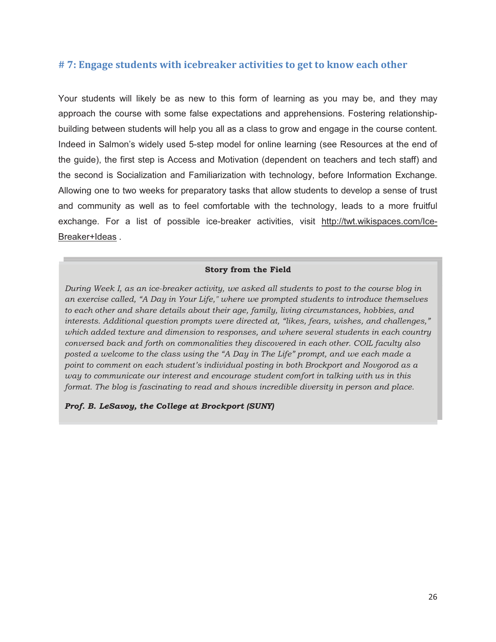## **# 7: Engage students with icebreaker activities to get to know each other**

Your students will likely be as new to this form of learning as you may be, and they may approach the course with some false expectations and apprehensions. Fostering relationshipbuilding between students will help you all as a class to grow and engage in the course content. Indeed in Salmon's widely used 5-step model for online learning (see Resources at the end of the guide), the first step is Access and Motivation (dependent on teachers and tech staff) and the second is Socialization and Familiarization with technology, before Information Exchange. Allowing one to two weeks for preparatory tasks that allow students to develop a sense of trust and community as well as to feel comfortable with the technology, leads to a more fruitful exchange. For a list of possible ice-breaker activities, visit http://twt.wikispaces.com/Ice-Breaker+Ideas .

#### **Story from the Field**

*During Week I, as an ice-breaker activity, we asked all students to post to the course blog in an exercise called, "A Day in Your Life," where we prompted students to introduce themselves to each other and share details about their age, family, living circumstances, hobbies, and interests. Additional question prompts were directed at, "likes, fears, wishes, and challenges," which added texture and dimension to responses, and where several students in each country conversed back and forth on commonalities they discovered in each other. COIL faculty also posted a welcome to the class using the "A Day in The Life" prompt, and we each made a point to comment on each student's individual posting in both Brockport and Novgorod as a way to communicate our interest and encourage student comfort in talking with us in this format. The blog is fascinating to read and shows incredible diversity in person and place.* 

*Prof. B. LeSavoy, the College at Brockport (SUNY)*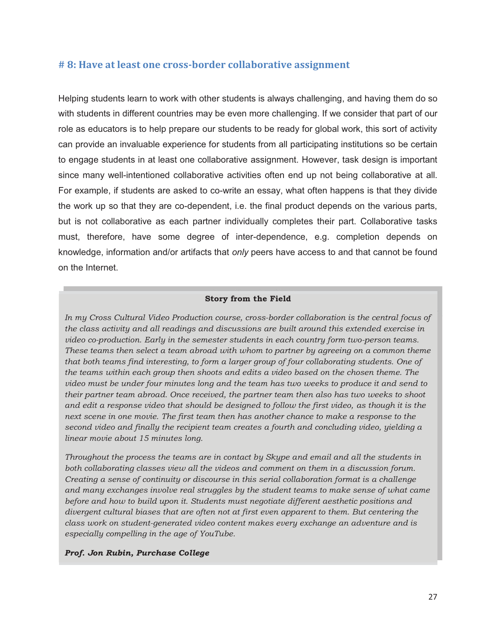### **# 8: Have at least one cross-border collaborative assignment**

Helping students learn to work with other students is always challenging, and having them do so with students in different countries may be even more challenging. If we consider that part of our role as educators is to help prepare our students to be ready for global work, this sort of activity can provide an invaluable experience for students from all participating institutions so be certain to engage students in at least one collaborative assignment. However, task design is important since many well-intentioned collaborative activities often end up not being collaborative at all. For example, if students are asked to co-write an essay, what often happens is that they divide the work up so that they are co-dependent, i.e. the final product depends on the various parts, but is not collaborative as each partner individually completes their part. Collaborative tasks must, therefore, have some degree of inter-dependence, e.g. completion depends on knowledge, information and/or artifacts that *only* peers have access to and that cannot be found on the Internet.

#### **Story from the Field**

*In my Cross Cultural Video Production course, cross-border collaboration is the central focus of the class activity and all readings and discussions are built around this extended exercise in video co-production. Early in the semester students in each country form two-person teams. These teams then select a team abroad with whom to partner by agreeing on a common theme that both teams find interesting, to form a larger group of four collaborating students. One of the teams within each group then shoots and edits a video based on the chosen theme. The video must be under four minutes long and the team has two weeks to produce it and send to their partner team abroad. Once received, the partner team then also has two weeks to shoot and edit a response video that should be designed to follow the first video, as though it is the next scene in one movie. The first team then has another chance to make a response to the second video and finally the recipient team creates a fourth and concluding video, yielding a linear movie about 15 minutes long.* 

*Throughout the process the teams are in contact by Skype and email and all the students in both collaborating classes view all the videos and comment on them in a discussion forum. Creating a sense of continuity or discourse in this serial collaboration format is a challenge and many exchanges involve real struggles by the student teams to make sense of what came before and how to build upon it. Students must negotiate different aesthetic positions and divergent cultural biases that are often not at first even apparent to them. But centering the class work on student-generated video content makes every exchange an adventure and is especially compelling in the age of YouTube.* 

#### *Prof. Jon Rubin, Purchase College*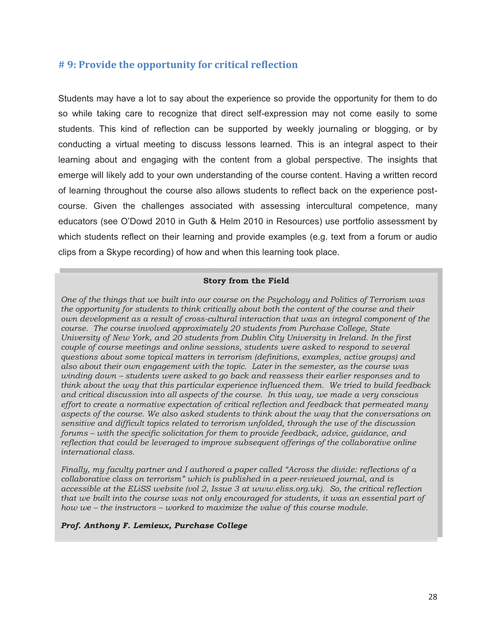### **# 9: Provide the opportunity for critical reflection**

Students may have a lot to say about the experience so provide the opportunity for them to do so while taking care to recognize that direct self-expression may not come easily to some students. This kind of reflection can be supported by weekly journaling or blogging, or by conducting a virtual meeting to discuss lessons learned. This is an integral aspect to their learning about and engaging with the content from a global perspective. The insights that emerge will likely add to your own understanding of the course content. Having a written record of learning throughout the course also allows students to reflect back on the experience postcourse. Given the challenges associated with assessing intercultural competence, many educators (see O'Dowd 2010 in Guth & Helm 2010 in Resources) use portfolio assessment by which students reflect on their learning and provide examples (e.g. text from a forum or audio clips from a Skype recording) of how and when this learning took place.

#### **Story from the Field**

*One of the things that we built into our course on the Psychology and Politics of Terrorism was the opportunity for students to think critically about both the content of the course and their own development as a result of cross-cultural interaction that was an integral component of the course. The course involved approximately 20 students from Purchase College, State University of New York, and 20 students from Dublin City University in Ireland. In the first couple of course meetings and online sessions, students were asked to respond to several questions about some topical matters in terrorism (definitions, examples, active groups) and also about their own engagement with the topic. Later in the semester, as the course was winding down – students were asked to go back and reassess their earlier responses and to think about the way that this particular experience influenced them. We tried to build feedback and critical discussion into all aspects of the course. In this way, we made a very conscious effort to create a normative expectation of critical reflection and feedback that permeated many aspects of the course. We also asked students to think about the way that the conversations on sensitive and difficult topics related to terrorism unfolded, through the use of the discussion forums – with the specific solicitation for them to provide feedback, advice, guidance, and reflection that could be leveraged to improve subsequent offerings of the collaborative online international class.* 

 *that we built into the course was not only encouraged for students, it was an essential part of Finally, my faculty partner and I authored a paper called "Across the divide: reflections of a collaborative class on terrorism" which is published in a peer-reviewed journal, and is accessible at the ELiSS website (vol 2, Issue 3 at www.eliss.org.uk). So, the critical reflection how we – the instructors – worked to maximize the value of this course module.* 

#### *Prof. Anthony F. Lemieux, Purchase College*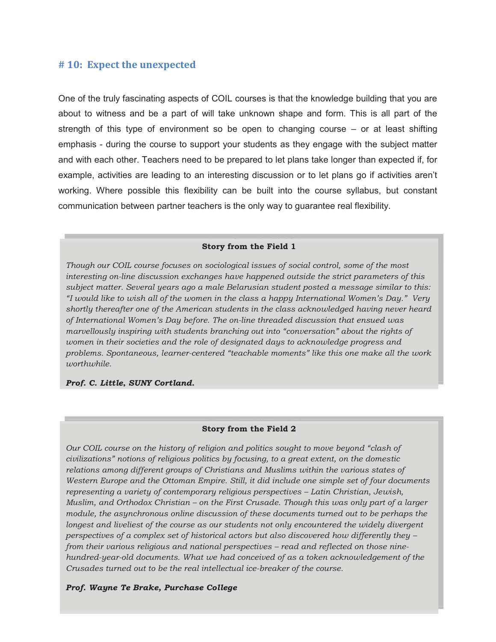#### **# 10: Expect the unexpected**

One of the truly fascinating aspects of COIL courses is that the knowledge building that you are about to witness and be a part of will take unknown shape and form. This is all part of the strength of this type of environment so be open to changing course – or at least shifting emphasis - during the course to support your students as they engage with the subject matter and with each other. Teachers need to be prepared to let plans take longer than expected if, for example, activities are leading to an interesting discussion or to let plans go if activities aren't working. Where possible this flexibility can be built into the course syllabus, but constant communication between partner teachers is the only way to guarantee real flexibility.

#### **Story from the Field 1**

*Though our COIL course focuses on sociological issues of social control, some of the most interesting on-line discussion exchanges have happened outside the strict parameters of this subject matter. Several years ago a male Belarusian student posted a message similar to this: "I would like to wish all of the women in the class a happy International Women's Day." Very shortly thereafter one of the American students in the class acknowledged having never heard of International Women's Day before. The on-line threaded discussion that ensued was marvellously inspiring with students branching out into "conversation" about the rights of women in their societies and the role of designated days to acknowledge progress and problems. Spontaneous, learner-centered "teachable moments" like this one make all the work worthwhile.* 

#### *Prof. C. Little, SUNY Cortland.*

#### **Story from the Field 2**

*Our COIL course on the history of religion and politics sought to move beyond "clash of civilizations" notions of religious politics by focusing, to a great extent, on the domestic relations among different groups of Christians and Muslims within the various states of Western Europe and the Ottoman Empire. Still, it did include one simple set of four documents representing a variety of contemporary religious perspectives – Latin Christian, Jewish, Muslim, and Orthodox Christian – on the First Crusade. Though this was only part of a larger module, the asynchronous online discussion of these documents turned out to be perhaps the*  longest and liveliest of the course as our students not only encountered the widely divergent *perspectives of a complex set of historical actors but also discovered how differently they – from their various religious and national perspectives – read and reflected on those ninehundred-year-old documents. What we had conceived of as a token acknowledgement of the Crusades turned out to be the real intellectual ice-breaker of the course.* 

#### *Prof. Wayne Te Brake, Purchase College*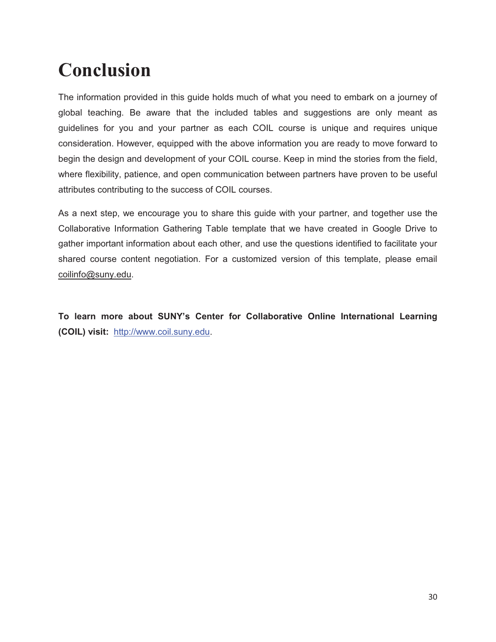# **Conclusion**

The information provided in this guide holds much of what you need to embark on a journey of global teaching. Be aware that the included tables and suggestions are only meant as guidelines for you and your partner as each COIL course is unique and requires unique consideration. However, equipped with the above information you are ready to move forward to begin the design and development of your COIL course. Keep in mind the stories from the field, where flexibility, patience, and open communication between partners have proven to be useful attributes contributing to the success of COIL courses.

As a next step, we encourage you to share this guide with your partner, and together use the Collaborative Information Gathering Table template that we have created in Google Drive to gather important information about each other, and use the questions identified to facilitate your shared course content negotiation. For a customized version of this template, please email coilinfo@suny.edu.

**To learn more about SUNY's Center for Collaborative Online International Learning (COIL) visit:** http://www.coil.suny.edu.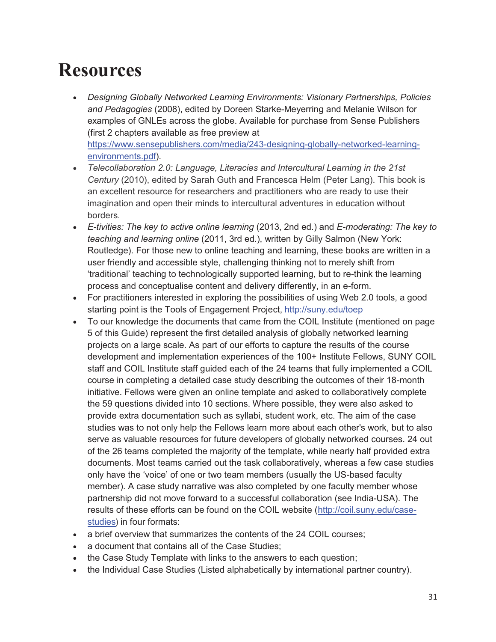# **Resources**

- *Designing Globally Networked Learning Environments: Visionary Partnerships, Policies and Pedagogies* (2008), edited by Doreen Starke-Meyerring and Melanie Wilson for examples of GNLEs across the globe. Available for purchase from Sense Publishers (first 2 chapters available as free preview at https://www.sensepublishers.com/media/243-designing-globally-networked-learningenvironments.pdf).
- $\bullet$  *Telecollaboration 2.0: Language, Literacies and Intercultural Learning in the 21st Century* (2010), edited by Sarah Guth and Francesca Helm (Peter Lang). This book is an excellent resource for researchers and practitioners who are ready to use their imagination and open their minds to intercultural adventures in education without borders.
- *E-tivities: The key to active online learning* (2013, 2nd ed.) and *E-moderating: The key to teaching and learning online* (2011, 3rd ed.), written by Gilly Salmon (New York: Routledge). For those new to online teaching and learning, these books are written in a user friendly and accessible style, challenging thinking not to merely shift from 'traditional' teaching to technologically supported learning, but to re-think the learning process and conceptualise content and delivery differently, in an e-form.
- For practitioners interested in exploring the possibilities of using Web 2.0 tools, a good starting point is the Tools of Engagement Project, http://suny.edu/toep
- To our knowledge the documents that came from the COIL Institute (mentioned on page 5 of this Guide) represent the first detailed analysis of globally networked learning projects on a large scale. As part of our efforts to capture the results of the course development and implementation experiences of the 100+ Institute Fellows, SUNY COIL staff and COIL Institute staff guided each of the 24 teams that fully implemented a COIL course in completing a detailed case study describing the outcomes of their 18-month initiative. Fellows were given an online template and asked to collaboratively complete the 59 questions divided into 10 sections. Where possible, they were also asked to provide extra documentation such as syllabi, student work, etc. The aim of the case studies was to not only help the Fellows learn more about each other's work, but to also serve as valuable resources for future developers of globally networked courses. 24 out of the 26 teams completed the majority of the template, while nearly half provided extra documents. Most teams carried out the task collaboratively, whereas a few case studies only have the 'voice' of one or two team members (usually the US-based faculty member). A case study narrative was also completed by one faculty member whose partnership did not move forward to a successful collaboration (see India-USA). The results of these efforts can be found on the COIL website (http://coil.suny.edu/casestudies) in four formats:
- a brief overview that summarizes the contents of the 24 COIL courses;
- a document that contains all of the Case Studies;
- the Case Study Template with links to the answers to each question;
- $\bullet$ the Individual Case Studies (Listed alphabetically by international partner country).